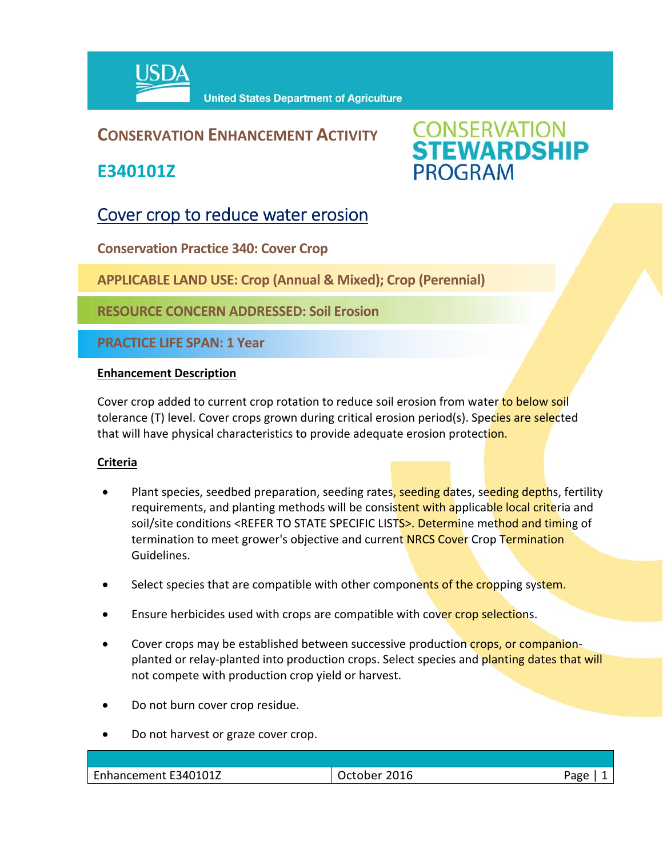

## **CONSERVATION ENHANCEMENT ACTIVITY**

**E340101Z**



# Cover crop to reduce water erosion

**Conservation Practice 340: Cover Crop** 

**APPLICABLE LAND USE: Crop (Annual & Mixed); Crop (Perennial)** 

**RESOURCE CONCERN ADDRESSED: Soil Erosion**

**PRACTICE LIFE SPAN: 1 Year**

#### **Enhancement Description**

Cover crop added to current crop rotation to reduce soil erosion from water to below soil tolerance (T) level. Cover crops grown during critical erosion period(s). Species are selected that will have physical characteristics to provide adequate erosion protection.

### **Criteria**

- Plant species, seedbed preparation, seeding rates, seeding dates, seeding depths, fertility requirements, and planting methods will be consistent with applicable local criteria and soil/site conditions <REFER TO STATE SPECIFIC LISTS>. Determine method and timing of termination to meet grower's objective and current NRCS Cover Crop Termination Guidelines.
- Select species that are compatible with other components of the cropping system.
- Ensure herbicides used with crops are compatible with cover crop selections.
- Cover crops may be established between successive production crops, or companionplanted or relay-planted into production crops. Select species and planting dates that will not compete with production crop yield or harvest.
- Do not burn cover crop residue.
- Do not harvest or graze cover crop.

| Enhancement E340101Z | 2016<br><b>Schoppe</b><br>ictonei | Page |
|----------------------|-----------------------------------|------|